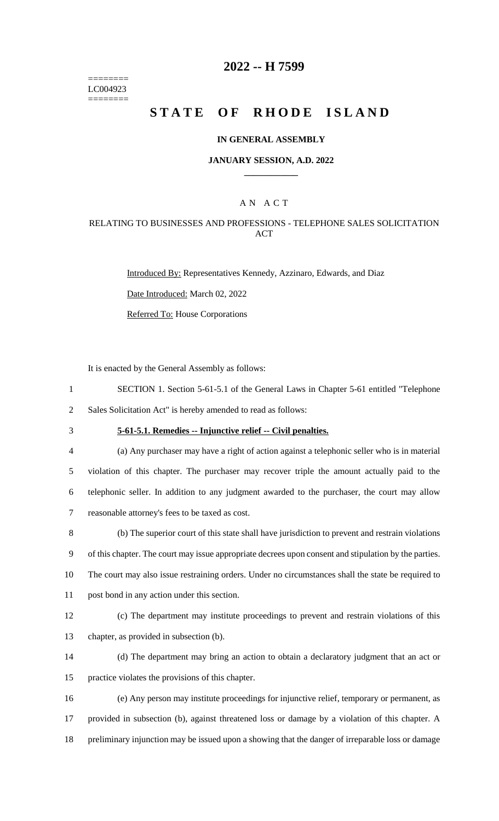======== LC004923 ========

## **2022 -- H 7599**

# **STATE OF RHODE ISLAND**

#### **IN GENERAL ASSEMBLY**

#### **JANUARY SESSION, A.D. 2022 \_\_\_\_\_\_\_\_\_\_\_\_**

### A N A C T

### RELATING TO BUSINESSES AND PROFESSIONS - TELEPHONE SALES SOLICITATION ACT

Introduced By: Representatives Kennedy, Azzinaro, Edwards, and Diaz

Date Introduced: March 02, 2022

Referred To: House Corporations

It is enacted by the General Assembly as follows:

- 1 SECTION 1. Section 5-61-5.1 of the General Laws in Chapter 5-61 entitled "Telephone 2 Sales Solicitation Act" is hereby amended to read as follows:
- 

3 **5-61-5.1. Remedies -- Injunctive relief -- Civil penalties.**

 (a) Any purchaser may have a right of action against a telephonic seller who is in material violation of this chapter. The purchaser may recover triple the amount actually paid to the telephonic seller. In addition to any judgment awarded to the purchaser, the court may allow reasonable attorney's fees to be taxed as cost.

8 (b) The superior court of this state shall have jurisdiction to prevent and restrain violations 9 of this chapter. The court may issue appropriate decrees upon consent and stipulation by the parties. 10 The court may also issue restraining orders. Under no circumstances shall the state be required to

- 11 post bond in any action under this section.
- 

12 (c) The department may institute proceedings to prevent and restrain violations of this 13 chapter, as provided in subsection (b).

- 14 (d) The department may bring an action to obtain a declaratory judgment that an act or
- 15 practice violates the provisions of this chapter.
- 16 (e) Any person may institute proceedings for injunctive relief, temporary or permanent, as 17 provided in subsection (b), against threatened loss or damage by a violation of this chapter. A 18 preliminary injunction may be issued upon a showing that the danger of irreparable loss or damage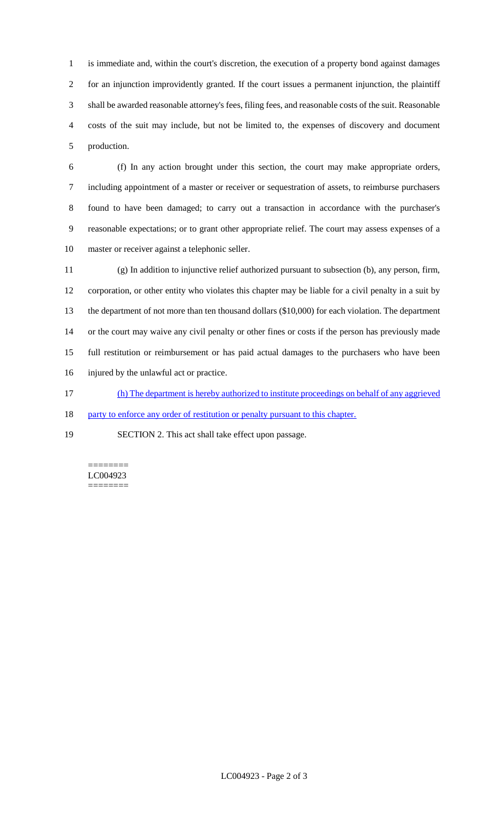is immediate and, within the court's discretion, the execution of a property bond against damages for an injunction improvidently granted. If the court issues a permanent injunction, the plaintiff shall be awarded reasonable attorney's fees, filing fees, and reasonable costs of the suit. Reasonable costs of the suit may include, but not be limited to, the expenses of discovery and document production.

 (f) In any action brought under this section, the court may make appropriate orders, including appointment of a master or receiver or sequestration of assets, to reimburse purchasers found to have been damaged; to carry out a transaction in accordance with the purchaser's reasonable expectations; or to grant other appropriate relief. The court may assess expenses of a master or receiver against a telephonic seller.

 (g) In addition to injunctive relief authorized pursuant to subsection (b), any person, firm, corporation, or other entity who violates this chapter may be liable for a civil penalty in a suit by the department of not more than ten thousand dollars (\$10,000) for each violation. The department or the court may waive any civil penalty or other fines or costs if the person has previously made full restitution or reimbursement or has paid actual damages to the purchasers who have been injured by the unlawful act or practice.

(h) The department is hereby authorized to institute proceedings on behalf of any aggrieved

18 party to enforce any order of restitution or penalty pursuant to this chapter.

SECTION 2. This act shall take effect upon passage.

======== LC004923 ========